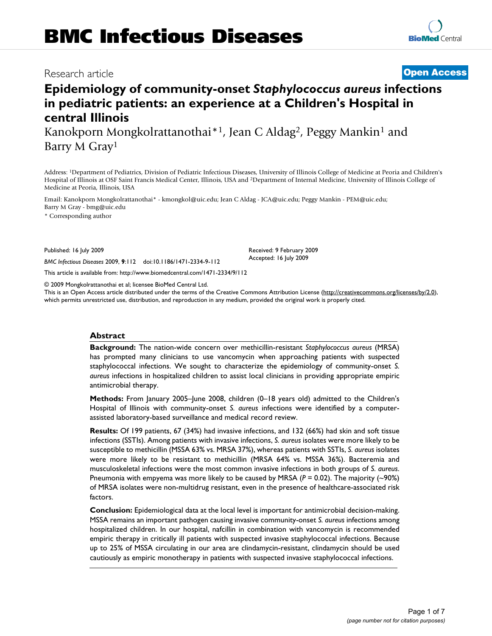## Research article **[Open Access](http://www.biomedcentral.com/info/about/charter/)**

# **Epidemiology of community-onset** *Staphylococcus aureus* **infections in pediatric patients: an experience at a Children's Hospital in central Illinois**

Kanokporn Mongkolrattanothai\*1, Jean C Aldag2, Peggy Mankin1 and Barry M Gray1

Address: 1Department of Pediatrics, Division of Pediatric Infectious Diseases, University of Illinois College of Medicine at Peoria and Children's Hospital of Illinois at OSF Saint Francis Medical Center, Illinois, USA and 2Department of Internal Medicine, University of Illinois College of Medicine at Peoria, Illinois, USA

Email: Kanokporn Mongkolrattanothai\* - kmongkol@uic.edu; Jean C Aldag - JCA@uic.edu; Peggy Mankin - PEM@uic.edu; Barry M Gray - bmg@uic.edu

\* Corresponding author

Published: 16 July 2009

*BMC Infectious Diseases* 2009, **9**:112 doi:10.1186/1471-2334-9-112

[This article is available from: http://www.biomedcentral.com/1471-2334/9/112](http://www.biomedcentral.com/1471-2334/9/112)

© 2009 Mongkolrattanothai et al; licensee BioMed Central Ltd.

This is an Open Access article distributed under the terms of the Creative Commons Attribution License [\(http://creativecommons.org/licenses/by/2.0\)](http://creativecommons.org/licenses/by/2.0), which permits unrestricted use, distribution, and reproduction in any medium, provided the original work is properly cited.

### **Abstract**

**Background:** The nation-wide concern over methicillin-resistant *Staphylococcus aureus* (MRSA) has prompted many clinicians to use vancomycin when approaching patients with suspected staphylococcal infections. We sought to characterize the epidemiology of community-onset *S. aureus* infections in hospitalized children to assist local clinicians in providing appropriate empiric antimicrobial therapy.

**Methods:** From January 2005–June 2008, children (0–18 years old) admitted to the Children's Hospital of Illinois with community-onset *S. aureus* infections were identified by a computerassisted laboratory-based surveillance and medical record review.

**Results:** Of 199 patients, 67 (34%) had invasive infections, and 132 (66%) had skin and soft tissue infections (SSTIs). Among patients with invasive infections, *S. aureus* isolates were more likely to be susceptible to methicillin (MSSA 63% vs. MRSA 37%), whereas patients with SSTIs, *S. aureus* isolates were more likely to be resistant to methicillin (MRSA 64% vs. MSSA 36%). Bacteremia and musculoskeletal infections were the most common invasive infections in both groups of *S. aureus*. Pneumonia with empyema was more likely to be caused by MRSA (*P* = 0.02). The majority (~90%) of MRSA isolates were non-multidrug resistant, even in the presence of healthcare-associated risk factors.

**Conclusion:** Epidemiological data at the local level is important for antimicrobial decision-making. MSSA remains an important pathogen causing invasive community-onset *S. aureus* infections among hospitalized children. In our hospital, nafcillin in combination with vancomycin is recommended empiric therapy in critically ill patients with suspected invasive staphylococcal infections. Because up to 25% of MSSA circulating in our area are clindamycin-resistant, clindamycin should be used cautiously as empiric monotherapy in patients with suspected invasive staphylococcal infections.

Received: 9 February 2009 Accepted: 16 July 2009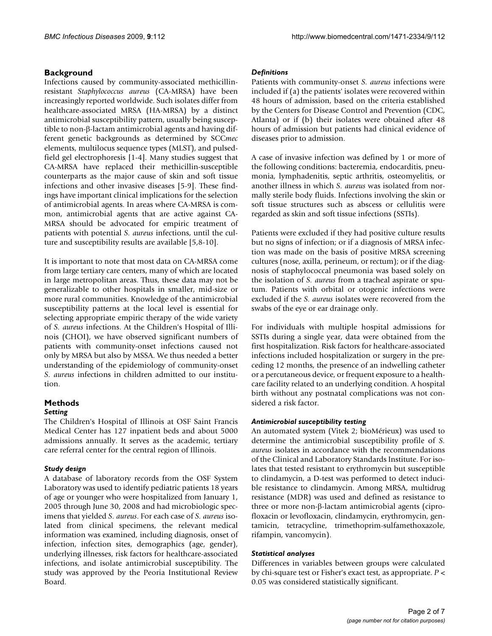### **Background**

Infections caused by community-associated methicillinresistant *Staphylococcus aureus* (CA-MRSA) have been increasingly reported worldwide. Such isolates differ from healthcare-associated MRSA (HA-MRSA) by a distinct antimicrobial susceptibility pattern, usually being susceptible to non-β-lactam antimicrobial agents and having different genetic backgrounds as determined by SCC*mec* elements, multilocus sequence types (MLST), and pulsedfield gel electrophoresis [1-4]. Many studies suggest that CA-MRSA have replaced their methicillin-susceptible counterparts as the major cause of skin and soft tissue infections and other invasive diseases [5-9]. These findings have important clinical implications for the selection of antimicrobial agents. In areas where CA-MRSA is common, antimicrobial agents that are active against CA-MRSA should be advocated for empiric treatment of patients with potential *S. aureus* infections, until the culture and susceptibility results are available [5,8-10].

It is important to note that most data on CA-MRSA come from large tertiary care centers, many of which are located in large metropolitan areas. Thus, these data may not be generalizable to other hospitals in smaller, mid-size or more rural communities. Knowledge of the antimicrobial susceptibility patterns at the local level is essential for selecting appropriate empiric therapy of the wide variety of *S. aureus* infections. At the Children's Hospital of Illinois (CHOI), we have observed significant numbers of patients with community-onset infections caused not only by MRSA but also by MSSA. We thus needed a better understanding of the epidemiology of community-onset *S. aureus* infections in children admitted to our institution.

#### **Methods** *Setting*

The Children's Hospital of Illinois at OSF Saint Francis Medical Center has 127 inpatient beds and about 5000 admissions annually. It serves as the academic, tertiary care referral center for the central region of Illinois.

### *Study design*

A database of laboratory records from the OSF System Laboratory was used to identify pediatric patients 18 years of age or younger who were hospitalized from January 1, 2005 through June 30, 2008 and had microbiologic specimens that yielded *S. aureus*. For each case of *S. aureus* isolated from clinical specimens, the relevant medical information was examined, including diagnosis, onset of infection, infection sites, demographics (age, gender), underlying illnesses, risk factors for healthcare-associated infections, and isolate antimicrobial susceptibility. The study was approved by the Peoria Institutional Review Board.

#### *Definitions*

Patients with community-onset *S. aureus* infections were included if (a) the patients' isolates were recovered within 48 hours of admission, based on the criteria established by the Centers for Disease Control and Prevention (CDC, Atlanta) or if (b) their isolates were obtained after 48 hours of admission but patients had clinical evidence of diseases prior to admission.

A case of invasive infection was defined by 1 or more of the following conditions: bacteremia, endocarditis, pneumonia, lymphadenitis, septic arthritis, osteomyelitis, or another illness in which *S. aureus* was isolated from normally sterile body fluids. Infections involving the skin or soft tissue structures such as abscess or cellulitis were regarded as skin and soft tissue infections (SSTIs).

Patients were excluded if they had positive culture results but no signs of infection; or if a diagnosis of MRSA infection was made on the basis of positive MRSA screening cultures (nose, axilla, perineum, or rectum); or if the diagnosis of staphylococcal pneumonia was based solely on the isolation of *S. aureus* from a tracheal aspirate or sputum. Patients with orbital or otogenic infections were excluded if the *S. aureus* isolates were recovered from the swabs of the eye or ear drainage only.

For individuals with multiple hospital admissions for SSTIs during a single year, data were obtained from the first hospitalization. Risk factors for healthcare-associated infections included hospitalization or surgery in the preceding 12 months, the presence of an indwelling catheter or a percutaneous device, or frequent exposure to a healthcare facility related to an underlying condition. A hospital birth without any postnatal complications was not considered a risk factor.

#### *Antimicrobial susceptibility testing*

An automated system (Vitek 2; bioMérieux) was used to determine the antimicrobial susceptibility profile of *S. aureus* isolates in accordance with the recommendations of the Clinical and Laboratory Standards Institute. For isolates that tested resistant to erythromycin but susceptible to clindamycin, a D-test was performed to detect inducible resistance to clindamycin. Among MRSA, multidrug resistance (MDR) was used and defined as resistance to three or more non-β-lactam antimicrobial agents (ciprofloxacin or levofloxacin, clindamycin, erythromycin, gentamicin, tetracycline, trimethoprim-sulfamethoxazole, rifampin, vancomycin).

#### *Statistical analyses*

Differences in variables between groups were calculated by chi-square test or Fisher's exact test, as appropriate. *P* < 0.05 was considered statistically significant.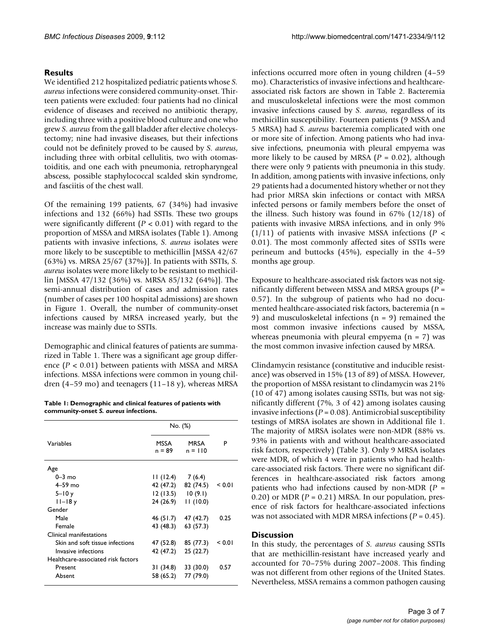#### **Results**

We identified 212 hospitalized pediatric patients whose *S. aureus* infections were considered community-onset. Thirteen patients were excluded: four patients had no clinical evidence of diseases and received no antibiotic therapy, including three with a positive blood culture and one who grew *S. aureus* from the gall bladder after elective cholecystectomy; nine had invasive diseases, but their infections could not be definitely proved to be caused by *S. aureus*, including three with orbital cellulitis, two with otomastoiditis, and one each with pneumonia, retropharyngeal abscess, possible staphylococcal scalded skin syndrome, and fasciitis of the chest wall.

Of the remaining 199 patients, 67 (34%) had invasive infections and 132 (66%) had SSTIs. These two groups were significantly different (*P* < 0.01) with regard to the proportion of MSSA and MRSA isolates (Table 1). Among patients with invasive infections, *S. aureus* isolates were more likely to be susceptible to methicillin [MSSA 42/67 (63%) vs. MRSA 25/67 (37%)]. In patients with SSTIs, *S. aureus* isolates were more likely to be resistant to methicillin [MSSA 47/132 (36%) vs. MRSA 85/132 (64%)]. The semi-annual distribution of cases and admission rates (number of cases per 100 hospital admissions) are shown in Figure 1. Overall, the number of community-onset infections caused by MRSA increased yearly, but the increase was mainly due to SSTIs.

Demographic and clinical features of patients are summarized in Table 1. There was a significant age group difference (*P* < 0.01) between patients with MSSA and MRSA infections. MSSA infections were common in young children (4–59 mo) and teenagers (11–18 y), whereas MRSA

| Table 1: Demographic and clinical features of patients with |  |
|-------------------------------------------------------------|--|
| community-onset S. aureus infections.                       |  |

| No. (%)                                                                                                   |                                                                                                                                                                                     |  |
|-----------------------------------------------------------------------------------------------------------|-------------------------------------------------------------------------------------------------------------------------------------------------------------------------------------|--|
|                                                                                                           | P                                                                                                                                                                                   |  |
|                                                                                                           |                                                                                                                                                                                     |  |
|                                                                                                           |                                                                                                                                                                                     |  |
|                                                                                                           | < 0.01                                                                                                                                                                              |  |
|                                                                                                           |                                                                                                                                                                                     |  |
|                                                                                                           |                                                                                                                                                                                     |  |
|                                                                                                           |                                                                                                                                                                                     |  |
|                                                                                                           | 0.25                                                                                                                                                                                |  |
|                                                                                                           |                                                                                                                                                                                     |  |
|                                                                                                           |                                                                                                                                                                                     |  |
|                                                                                                           | < 0.01                                                                                                                                                                              |  |
|                                                                                                           |                                                                                                                                                                                     |  |
|                                                                                                           |                                                                                                                                                                                     |  |
|                                                                                                           | 0.57                                                                                                                                                                                |  |
|                                                                                                           |                                                                                                                                                                                     |  |
| MSSA<br>n = 89<br>12 (13.5)<br>24 (26.9)<br>43 (48.3)<br>47 (52.8)<br>42 (47.2)<br>31 (34.8)<br>58 (65.2) | <b>MRSA</b><br>$n = 110$<br>$11(12.4)$ 7 (6.4)<br>42 (47.2) 82 (74.5)<br>10(9.1)<br>11(10.0)<br>46 (51.7) 47 (42.7)<br>63 (57.3)<br>85 (77.3)<br>25(22.7)<br>33 (30.0)<br>77 (79.0) |  |

infections occurred more often in young children (4–59 mo). Characteristics of invasive infections and healthcareassociated risk factors are shown in Table 2. Bacteremia and musculoskeletal infections were the most common invasive infections caused by *S. aureus*, regardless of its methicillin susceptibility. Fourteen patients (9 MSSA and 5 MRSA) had *S. aureus* bacteremia complicated with one or more site of infection. Among patients who had invasive infections, pneumonia with pleural empyema was more likely to be caused by MRSA (*P* = 0.02), although there were only 9 patients with pneumonia in this study. In addition, among patients with invasive infections, only 29 patients had a documented history whether or not they had prior MRSA skin infections or contact with MRSA infected persons or family members before the onset of the illness. Such history was found in 67% (12/18) of patients with invasive MRSA infections, and in only 9% (1/11) of patients with invasive MSSA infections (*P* < 0.01). The most commonly affected sites of SSTIs were perineum and buttocks (45%), especially in the 4–59 months age group.

Exposure to healthcare-associated risk factors was not significantly different between MSSA and MRSA groups (*P* = 0.57). In the subgroup of patients who had no documented healthcare-associated risk factors, bacteremia (n = 9) and musculoskeletal infections (n = 9) remained the most common invasive infections caused by MSSA, whereas pneumonia with pleural empyema  $(n = 7)$  was the most common invasive infection caused by MRSA.

Clindamycin resistance (constitutive and inducible resistance) was observed in 15% (13 of 89) of MSSA. However, the proportion of MSSA resistant to clindamycin was 21% (10 of 47) among isolates causing SSTIs, but was not significantly different (7%, 3 of 42) among isolates causing invasive infections (*P* = 0.08). Antimicrobial susceptibility testings of MRSA isolates are shown in Additional file 1. The majority of MRSA isolates were non-MDR (88% vs. 93% in patients with and without healthcare-associated risk factors, respectively) (Table 3). Only 9 MRSA isolates were MDR, of which 4 were in patients who had healthcare-associated risk factors. There were no significant differences in healthcare-associated risk factors among patients who had infections caused by non-MDR (*P* = 0.20) or MDR  $(P = 0.21)$  MRSA. In our population, presence of risk factors for healthcare-associated infections was not associated with MDR MRSA infections (*P* = 0.45).

### **Discussion**

In this study, the percentages of *S. aureus* causing SSTIs that are methicillin-resistant have increased yearly and accounted for 70–75% during 2007–2008. This finding was not different from other regions of the United States. Nevertheless, MSSA remains a common pathogen causing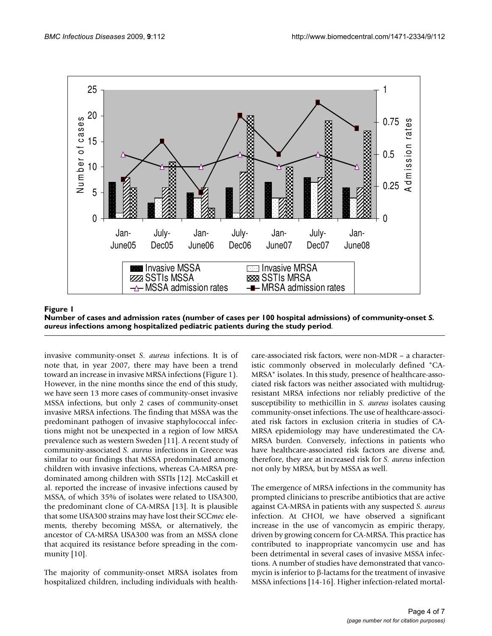

Number of cases and admission rates (number of ca among hospitalized pediatric pa **Figure 1** tients during the study period ses per 100 hospital admissions) of community-onset *S. aureus* infections **Number of cases and admission rates (number of cases per 100 hospital admissions) of community-onset** *S. aureus* **infections among hospitalized pediatric patients during the study period**.

invasive community-onset *S. aureus* infections. It is of note that, in year 2007, there may have been a trend toward an increase in invasive MRSA infections (Figure 1). However, in the nine months since the end of this study, we have seen 13 more cases of community-onset invasive MSSA infections, but only 2 cases of community-onset invasive MRSA infections. The finding that MSSA was the predominant pathogen of invasive staphylococcal infections might not be unexpected in a region of low MRSA prevalence such as western Sweden [11]. A recent study of community-associated *S. aureus* infections in Greece was similar to our findings that MSSA predominated among children with invasive infections, whereas CA-MRSA predominated among children with SSTIs [12]. McCaskill et al. reported the increase of invasive infections caused by MSSA, of which 35% of isolates were related to USA300, the predominant clone of CA-MRSA [13]. It is plausible that some USA300 strains may have lost their SCC*mec* elements, thereby becoming MSSA, or alternatively, the ancestor of CA-MRSA USA300 was from an MSSA clone that acquired its resistance before spreading in the community [10].

The majority of community-onset MRSA isolates from hospitalized children, including individuals with healthcare-associated risk factors, were non-MDR – a characteristic commonly observed in molecularly defined "CA-MRSA" isolates. In this study, presence of healthcare-associated risk factors was neither associated with multidrugresistant MRSA infections nor reliably predictive of the susceptibility to methicillin in *S. aureus* isolates causing community-onset infections. The use of healthcare-associated risk factors in exclusion criteria in studies of CA-MRSA epidemiology may have underestimated the CA-MRSA burden. Conversely, infections in patients who have healthcare-associated risk factors are diverse and, therefore, they are at increased risk for *S. aureus* infection not only by MRSA, but by MSSA as well.

The emergence of MRSA infections in the community has prompted clinicians to prescribe antibiotics that are active against CA-MRSA in patients with any suspected *S. aureus* infection. At CHOI, we have observed a significant increase in the use of vancomycin as empiric therapy, driven by growing concern for CA-MRSA. This practice has contributed to inappropriate vancomycin use and has been detrimental in several cases of invasive MSSA infections. A number of studies have demonstrated that vancomycin is inferior to β-lactams for the treatment of invasive MSSA infections [14-16]. Higher infection-related mortal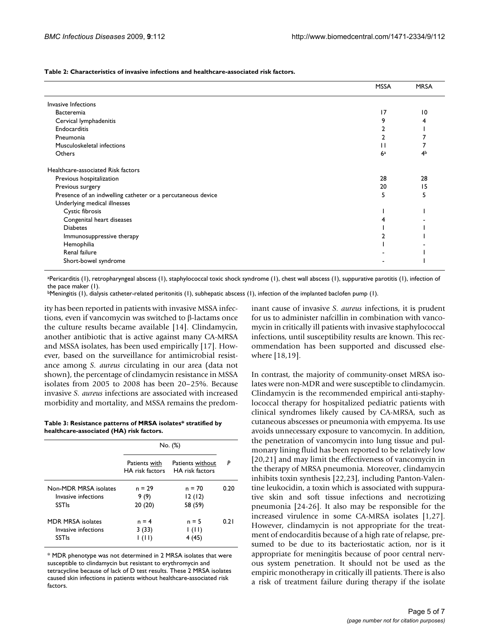**Table 2: Characteristics of invasive infections and healthcare-associated risk factors.**

|                                                             | <b>MSSA</b>    | <b>MRSA</b>    |
|-------------------------------------------------------------|----------------|----------------|
| Invasive Infections                                         |                |                |
| <b>Bacteremia</b>                                           | 17             | 10             |
| Cervical lymphadenitis                                      | 9              |                |
| <b>Endocarditis</b>                                         |                |                |
| Pneumonia                                                   |                |                |
| Musculoskeletal infections                                  | Ħ              |                |
| Others                                                      | 6 <sup>a</sup> | 4 <sup>b</sup> |
| Healthcare-associated Risk factors                          |                |                |
| Previous hospitalization                                    | 28             | 28             |
| Previous surgery                                            | 20             | 15             |
| Presence of an indwelling catheter or a percutaneous device | 5              |                |
| Underlying medical illnesses                                |                |                |
| Cystic fibrosis                                             |                |                |
| Congenital heart diseases                                   |                |                |
| <b>Diabetes</b>                                             |                |                |
| Immunosuppressive therapy                                   |                |                |
| Hemophilia                                                  |                |                |
| Renal failure                                               |                |                |
| Short-bowel syndrome                                        |                |                |

aPericarditis (1), retropharyngeal abscess (1), staphylococcal toxic shock syndrome (1), chest wall abscess (1), suppurative parotitis (1), infection of the pace maker (1).

bMeningitis (1), dialysis catheter-related peritonitis (1), subhepatic abscess (1), infection of the implanted baclofen pump (1).

ity has been reported in patients with invasive MSSA infections, even if vancomycin was switched to β-lactams once the culture results became available [14]. Clindamycin, another antibiotic that is active against many CA-MRSA and MSSA isolates, has been used empirically [17]. However, based on the surveillance for antimicrobial resistance among *S. aureus* circulating in our area (data not shown), the percentage of clindamycin resistance in MSSA isolates from 2005 to 2008 has been 20–25%. Because invasive *S. aureus* infections are associated with increased morbidity and mortality, and MSSA remains the predom-

**Table 3: Resistance patterns of MRSA isolates\* stratified by healthcare-associated (HA) risk factors.**

|                          | No. (%)                          |                                     |      |
|--------------------------|----------------------------------|-------------------------------------|------|
|                          | Patients with<br>HA risk factors | Patients without<br>HA risk factors | P    |
| Non-MDR MRSA isolates    | $n = 29$                         | $n = 70$                            | 0.20 |
| Invasive infections      | 9 (9)                            | 12(12)                              |      |
| <b>SSTIs</b>             | 20 (20)                          | 58 (59)                             |      |
| <b>MDR MRSA</b> isolates | $n = 4$                          | $n = 5$                             | 0.21 |
| Invasive infections      | 3(33)                            | 1(11)                               |      |
| <b>SSTIs</b>             | $\left(11\right)$                | 4 (45)                              |      |

\* MDR phenotype was not determined in 2 MRSA isolates that were susceptible to clindamycin but resistant to erythromycin and tetracycline because of lack of D test results. These 2 MRSA isolates caused skin infections in patients without healthcare-associated risk factors.

inant cause of invasive *S. aureus* infections, it is prudent for us to administer nafcillin in combination with vancomycin in critically ill patients with invasive staphylococcal infections, until susceptibility results are known. This recommendation has been supported and discussed elsewhere [18,19].

In contrast, the majority of community-onset MRSA isolates were non-MDR and were susceptible to clindamycin. Clindamycin is the recommended empirical anti-staphylococcal therapy for hospitalized pediatric patients with clinical syndromes likely caused by CA-MRSA, such as cutaneous abscesses or pneumonia with empyema. Its use avoids unnecessary exposure to vancomycin. In addition, the penetration of vancomycin into lung tissue and pulmonary lining fluid has been reported to be relatively low [20,21] and may limit the effectiveness of vancomycin in the therapy of MRSA pneumonia. Moreover, clindamycin inhibits toxin synthesis [22,23], including Panton-Valentine leukocidin, a toxin which is associated with suppurative skin and soft tissue infections and necrotizing pneumonia [24-26]. It also may be responsible for the increased virulence in some CA-MRSA isolates [1,27]. However, clindamycin is not appropriate for the treatment of endocarditis because of a high rate of relapse, presumed to be due to its bacteriostatic action, nor is it appropriate for meningitis because of poor central nervous system penetration. It should not be used as the empiric monotherapy in critically ill patients. There is also a risk of treatment failure during therapy if the isolate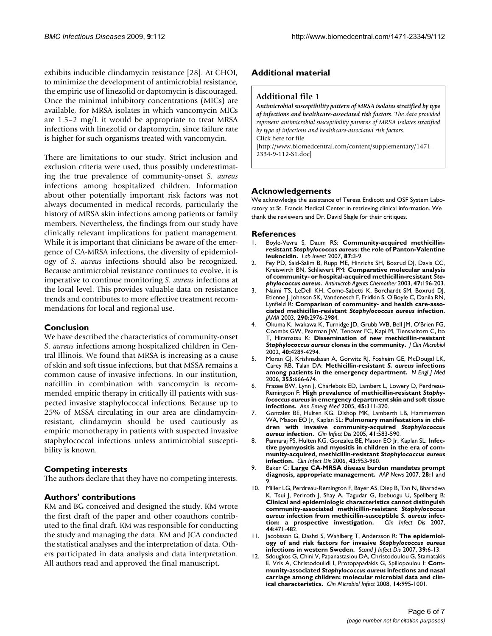exhibits inducible clindamycin resistance [28]. At CHOI, to minimize the development of antimicrobial resistance, the empiric use of linezolid or daptomycin is discouraged. Once the minimal inhibitory concentrations (MICs) are available, for MRSA isolates in which vancomycin MICs are 1.5–2 mg/L it would be appropriate to treat MRSA infections with linezolid or daptomycin, since failure rate is higher for such organisms treated with vancomycin.

There are limitations to our study. Strict inclusion and exclusion criteria were used, thus possibly underestimating the true prevalence of community-onset *S. aureus* infections among hospitalized children. Information about other potentially important risk factors was not always documented in medical records, particularly the history of MRSA skin infections among patients or family members. Nevertheless, the findings from our study have clinically relevant implications for patient management. While it is important that clinicians be aware of the emergence of CA-MRSA infections, the diversity of epidemiology of *S. aureus* infections should also be recognized. Because antimicrobial resistance continues to evolve, it is imperative to continue monitoring *S. aureus* infections at the local level. This provides valuable data on resistance trends and contributes to more effective treatment recommendations for local and regional use.

#### **Conclusion**

We have described the characteristics of community-onset *S. aureus* infections among hospitalized children in Central Illinois. We found that MRSA is increasing as a cause of skin and soft tissue infections, but that MSSA remains a common cause of invasive infections. In our institution, nafcillin in combination with vancomycin is recommended empiric therapy in critically ill patients with suspected invasive staphylococcal infections. Because up to 25% of MSSA circulating in our area are clindamycinresistant, clindamycin should be used cautiously as empiric monotherapy in patients with suspected invasive staphylococcal infections unless antimicrobial susceptibility is known.

### **Competing interests**

The authors declare that they have no competing interests.

### **Authors' contributions**

KM and BG conceived and designed the study. KM wrote the first draft of the paper and other coauthors contributed to the final draft. KM was responsible for conducting the study and managing the data. KM and JCA conducted the statistical analyses and the interpretation of data. Others participated in data analysis and data interpretation. All authors read and approved the final manuscript.

#### **Additional material**

#### **Additional file 1**

*Antimicrobial susceptibility pattern of MRSA isolates stratified by type of infections and healthcare-associated risk factors. The data provided represent antimicrobial susceptibility patterns of MRSA isolates stratified by type of infections and healthcare-associated risk factors.* Click here for file [\[http://www.biomedcentral.com/content/supplementary/1471-](http://www.biomedcentral.com/content/supplementary/1471-2334-9-112-S1.doc) 2334-9-112-S1.doc]

#### **Acknowledgements**

We acknowledge the assistance of Teresa Endicott and OSF System Laboratory at St. Francis Medical Center in retrieving clinical information. We thank the reviewers and Dr. David Slagle for their critiques.

#### **References**

- 1. Boyle-Vavra S, Daum RS: **Community-acquired methicillinresistant** *Staphylococcus aureus***[: the role of Panton-Valentine](http://www.ncbi.nlm.nih.gov/entrez/query.fcgi?cmd=Retrieve&db=PubMed&dopt=Abstract&list_uids=17146447) [leukocidin.](http://www.ncbi.nlm.nih.gov/entrez/query.fcgi?cmd=Retrieve&db=PubMed&dopt=Abstract&list_uids=17146447)** *Lab Invest* 2007, **87:**3-9.
- 2. Fey PD, Said-Salim B, Rupp ME, Hinrichs SH, Boxrud DJ, Davis CC, Kreiswirth BN, Schlievert PM: **Comparative molecular analysis of community- or hospital-acquired methicillin-resistant** *Staphylococcus aureus***[.](http://www.ncbi.nlm.nih.gov/entrez/query.fcgi?cmd=Retrieve&db=PubMed&dopt=Abstract&list_uids=12499191)** *Antimicrob Agents Chemother* 2003, **47:**196-203.
- 3. Naimi TS, LeDell KH, Como-Sabetti K, Borchardt SM, Boxrud DJ, Etienne J, Johnson SK, Vandenesch F, Fridkin S, O'Boyle C, Danila RN, Lynfield R: **Comparison of community- and health care-associated methicillin-resistant** *Staphylococcus aureus* **[infection.](http://www.ncbi.nlm.nih.gov/entrez/query.fcgi?cmd=Retrieve&db=PubMed&dopt=Abstract&list_uids=14665659)** *JAMA* 2003, **290:**2976-2984.
- 4. Okuma K, Iwakawa K, Turnidge JD, Grubb WB, Bell JM, O'Brien FG, Coombs GW, Pearman JW, Tenover FC, Kapi M, Tiensasitorn C, Ito T, Hiramatsu K: **Dissemination of new methicillin-resistant** *Staphylococcus aureus* **[clones in the community.](http://www.ncbi.nlm.nih.gov/entrez/query.fcgi?cmd=Retrieve&db=PubMed&dopt=Abstract&list_uids=12409412)** *J Clin Microbiol* 2002, **40:**4289-4294.
- 5. Moran GJ, Krishnadasan A, Gorwitz RJ, Fosheim GE, McDougal LK, Carey RB, Talan DA: **Methicillin-resistant** *S. aureus* **[infections](http://www.ncbi.nlm.nih.gov/entrez/query.fcgi?cmd=Retrieve&db=PubMed&dopt=Abstract&list_uids=16914702) [among patients in the emergency department.](http://www.ncbi.nlm.nih.gov/entrez/query.fcgi?cmd=Retrieve&db=PubMed&dopt=Abstract&list_uids=16914702)** *N Engl J Med* 2006, **355:**666-674.
- 6. Frazee BW, Lynn J, Charlebois ED, Lambert L, Lowery D, Perdreau-Remington F: **High prevalence of methicillin-resistant** *Staphylococcus aureus* **[in emergency department skin and soft tissue](http://www.ncbi.nlm.nih.gov/entrez/query.fcgi?cmd=Retrieve&db=PubMed&dopt=Abstract&list_uids=15726056) [infections.](http://www.ncbi.nlm.nih.gov/entrez/query.fcgi?cmd=Retrieve&db=PubMed&dopt=Abstract&list_uids=15726056)** *Ann Emerg Med* 2005, **45:**311-320.
- 7. Gonzalez BE, Hulten KG, Dishop MK, Lamberth LB, Hammerman WA, Mason EO Jr, Kaplan SL: **Pulmonary manifestations in children with invasive community-acquired** *Staphylococcus aureus* **[infection.](http://www.ncbi.nlm.nih.gov/entrez/query.fcgi?cmd=Retrieve&db=PubMed&dopt=Abstract&list_uids=16080077)** *Clin Infect Dis* 2005, **41:**583-590.
- 8. Pannaraj PS, Hulten KG, Gonzalez BE, Mason EO Jr, Kaplan SL: **Infective pyomyositis and myositis in children in the era of community-acquired, methicillin-resistant** *Staphylococcus aureus* **[infection.](http://www.ncbi.nlm.nih.gov/entrez/query.fcgi?cmd=Retrieve&db=PubMed&dopt=Abstract&list_uids=16983604)** *Clin Infect Dis* 2006, **43:**953-960.
- 9. Baker C: **Large CA-MRSA disease burden mandates prompt diagnosis, appropriate management.** *AAP News* 2007, **28:**1 and 9.
- 10. Miller LG, Perdreau-Remington F, Bayer AS, Diep B, Tan N, Bharadwa K, Tsui J, Perlroth J, Shay A, Tagudar G, Ibebuogu U, Spellberg B: **Clinical and epidemiologic characteristics cannot distinguish community-associated methicillin-resistant** *Staphylococcus aureus* **infection from methicillin-susceptible** *S. aureus* **[infec](http://www.ncbi.nlm.nih.gov/entrez/query.fcgi?cmd=Retrieve&db=PubMed&dopt=Abstract&list_uids=17243048)[tion: a prospective investigation.](http://www.ncbi.nlm.nih.gov/entrez/query.fcgi?cmd=Retrieve&db=PubMed&dopt=Abstract&list_uids=17243048)** *Clin Infect Dis* 2007, **44:**471-482.
- 11. Jacobsson G, Dashti S, Wahlberg T, Andersson R: **The epidemiology of and risk factors for invasive** *Staphylococcus aureus* **[infections in western Sweden.](http://www.ncbi.nlm.nih.gov/entrez/query.fcgi?cmd=Retrieve&db=PubMed&dopt=Abstract&list_uids=17366006)** *Scand J Infect Dis* 2007, **39:**6-13.
- 12. Sdougkos G, Chini V, Papanastasiou DA, Christodoulou G, Stamatakis E, Vris A, Christodoulidi I, Protopapadakis G, Spiliopoulou I: **Community-associated** *Staphylococcus aureus* **[infections and nasal](http://www.ncbi.nlm.nih.gov/entrez/query.fcgi?cmd=Retrieve&db=PubMed&dopt=Abstract&list_uids=18808423) [carriage among children: molecular microbial data and clin](http://www.ncbi.nlm.nih.gov/entrez/query.fcgi?cmd=Retrieve&db=PubMed&dopt=Abstract&list_uids=18808423)[ical characteristics.](http://www.ncbi.nlm.nih.gov/entrez/query.fcgi?cmd=Retrieve&db=PubMed&dopt=Abstract&list_uids=18808423)** *Clin Microbiol Infect* 2008, **14:**995-1001.